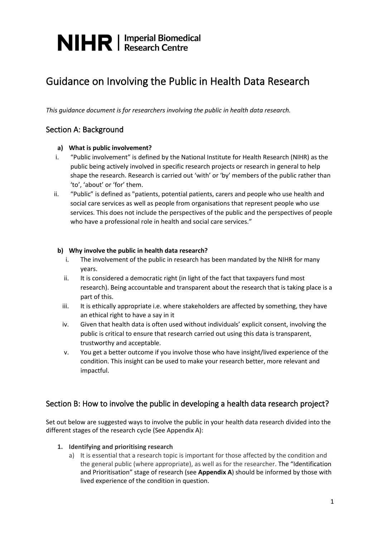### Guidance on Involving the Public in Health Data Research

*This guidance document is for researchers involving the public in health data research.* 

### Section A: Background

### **a) What is public involvement?**

- i. "Public involvement" is defined by the National Institute for Health Research (NIHR) as the public being actively involved in specific research projects or research in general to help shape the research. Research is carried out 'with' or 'by' members of the public rather than 'to', 'about' or 'for' them.
- ii. "Public" is defined as "patients, potential patients, carers and people who use health and social care services as well as people from organisations that represent people who use services. This does not include the perspectives of the public and the perspectives of people who have a professional role in health and social care services."

### **b) Why involve the public in health data research?**

- i. The involvement of the public in research has been mandated by the NIHR for many years.
- ii. It is considered a democratic right (in light of the fact that taxpayers fund most research). Being accountable and transparent about the research that is taking place is a part of this.
- iii. It is ethically appropriate i.e. where stakeholders are affected by something, they have an ethical right to have a say in it
- iv. Given that health data is often used without individuals' explicit consent, involving the public is critical to ensure that research carried out using this data is transparent, trustworthy and acceptable.
- v. You get a better outcome if you involve those who have insight/lived experience of the condition. This insight can be used to make your research better, more relevant and impactful.

### Section B: How to involve the public in developing a health data research project?

Set out below are suggested ways to involve the public in your health data research divided into the different stages of the research cycle (See Appendix A):

### **1. Identifying and prioritising research**

a) It is essential that a research topic is important for those affected by the condition and the general public (where appropriate), as well as for the researcher. The "Identification and Prioritisation" stage of research (see **Appendix A**) should be informed by those with lived experience of the condition in question.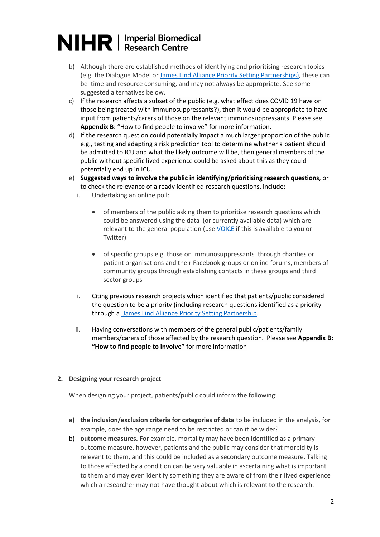- b) Although there are established methods of identifying and prioritising research topics (e.g. the Dialogue Model or [James Lind Alliance Priority Setting Partnerships\)](http://www.jla.nihr.ac.uk/priority-setting-partnerships/), these can be time and resource consuming, and may not always be appropriate. See some suggested alternatives below.
- c) If the research affects a subset of the public (e.g. what effect does COVID 19 have on those being treated with immunosuppressants?), then it would be appropriate to have input from patients/carers of those on the relevant immunosuppressants. Please see **Appendix B**: "How to find people to involve" for more information.
- d) If the research question could potentially impact a much larger proportion of the public e.g., testing and adapting a risk prediction tool to determine whether a patient should be admitted to ICU and what the likely outcome will be, then general members of the public without specific lived experience could be asked about this as they could potentially end up in ICU.
- e) **Suggested ways to involve the public in identifying/prioritising research questions**, or to check the relevance of already identified research questions, include:
	- i. Undertaking an online poll:
		- of members of the public asking them to prioritise research questions which could be answered using the data (or currently available data) which are relevant to the general population (us[e VOICE](https://www.voice-global.org/) if this is available to you or Twitter)
		- of specific groups e.g. those on immunosuppressants through charities or patient organisations and their Facebook groups or online forums, members of community groups through establishing contacts in these groups and third sector groups
	- i. Citing previous research projects which identified that patients/public considered the question to be a priority (including research questions identified as a priority through a James Lind [Alliance Priority Setting Partnership.](http://www.jla.nihr.ac.uk/priority-setting-partnerships/)
	- ii. Having conversations with members of the general public/patients/family members/carers of those affected by the research question. Please see **Appendix B: "How to find people to involve"** for more information

### **2. Designing your research project**

When designing your project, patients/public could inform the following:

- **a) the inclusion/exclusion criteria for categories of data** to be included in the analysis, for example, does the age range need to be restricted or can it be wider?
- b) **outcome measures.** For example, mortality may have been identified as a primary outcome measure, however, patients and the public may consider that morbidity is relevant to them, and this could be included as a secondary outcome measure. Talking to those affected by a condition can be very valuable in ascertaining what is important to them and may even identify something they are aware of from their lived experience which a researcher may not have thought about which is relevant to the research.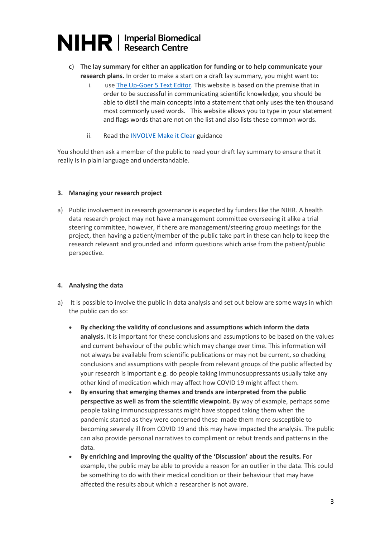- c) **The lay summary for either an application for funding or to help communicate your research plans.** In order to make a start on a draft lay summary, you might want to:
	- i. use [The Up-Goer 5 Text Editor.](https://splasho.com/upgoer5/) This website is based on the premise that in order to be successful in communicating scientific knowledge, you should be able to distil the main concepts into a statement that only uses the ten thousand most commonly used words. This website allows you to type in your statement and flags words that are not on the list and also lists these common words.
	- ii. Read the **INVOLVE Make it Clear guidance**

You should then ask a member of the public to read your draft lay summary to ensure that it really is in plain language and understandable.

### **3. Managing your research project**

a) Public involvement in research governance is expected by funders like the NIHR. A health data research project may not have a management committee overseeing it alike a trial steering committee, however, if there are management/steering group meetings for the project, then having a patient/member of the public take part in these can help to keep the research relevant and grounded and inform questions which arise from the patient/public perspective.

### **4. Analysing the data**

- a) It is possible to involve the public in data analysis and set out below are some ways in which the public can do so:
	- **By checking the validity of conclusions and assumptions which inform the data analysis.** It is important for these conclusions and assumptions to be based on the values and current behaviour of the public which may change over time. This information will not always be available from scientific publications or may not be current, so checking conclusions and assumptions with people from relevant groups of the public affected by your research is important e.g. do people taking immunosuppressants usually take any other kind of medication which may affect how COVID 19 might affect them.
	- **By ensuring that emerging themes and trends are interpreted from the public perspective as well as from the scientific viewpoint.** By way of example, perhaps some people taking immunosuppressants might have stopped taking them when the pandemic started as they were concerned these made them more susceptible to becoming severely ill from COVID 19 and this may have impacted the analysis. The public can also provide personal narratives to compliment or rebut trends and patterns in the data.
	- **By enriching and improving the quality of the 'Discussion' about the results.** For example, the public may be able to provide a reason for an outlier in the data. This could be something to do with their medical condition or their behaviour that may have affected the results about which a researcher is not aware.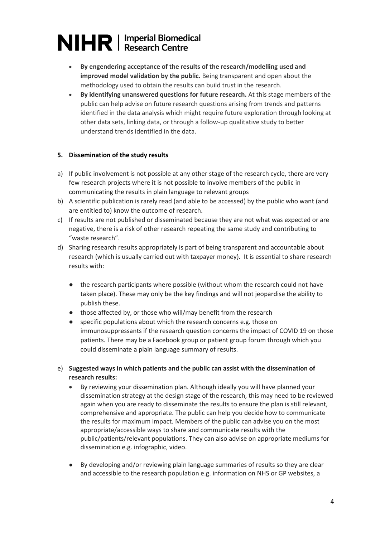- **By engendering acceptance of the results of the research/modelling used and improved model validation by the public.** Being transparent and open about the methodology used to obtain the results can build trust in the research.
- **By identifying unanswered questions for future research.** At this stage members of the public can help advise on future research questions arising from trends and patterns identified in the data analysis which might require future exploration through looking at other data sets, linking data, or through a follow-up qualitative study to better understand trends identified in the data.

### **5. Dissemination of the study results**

- a) If public involvement is not possible at any other stage of the research cycle, there are very few research projects where it is not possible to involve members of the public in communicating the results in plain language to relevant groups
- b) A scientific publication is rarely read (and able to be accessed) by the public who want (and are entitled to) know the outcome of research.
- c) If results are not published or disseminated because they are not what was expected or are negative, there is a risk of other research repeating the same study and contributing to "waste research".
- d) Sharing research results appropriately is part of being transparent and accountable about research (which is usually carried out with taxpayer money). It is essential to share research results with:
	- the research participants where possible (without whom the research could not have taken place). These may only be the key findings and will not jeopardise the ability to publish these.
	- those affected by, or those who will/may benefit from the research
	- specific populations about which the research concerns e.g. those on immunosuppressants if the research question concerns the impact of COVID 19 on those patients. There may be a Facebook group or patient group forum through which you could disseminate a plain language summary of results.
- e) **Suggested ways in which patients and the public can assist with the dissemination of research results:** 
	- By reviewing your dissemination plan. Although ideally you will have planned your dissemination strategy at the design stage of the research, this may need to be reviewed again when you are ready to disseminate the results to ensure the plan is still relevant, comprehensive and appropriate. The public can help you decide how to communicate the results for maximum impact. Members of the public can advise you on the most appropriate/accessible ways to share and communicate results with the public/patients/relevant populations. They can also advise on appropriate mediums for dissemination e.g. infographic, video.
	- By developing and/or reviewing plain language summaries of results so they are clear and accessible to the research population e.g. information on NHS or GP websites, a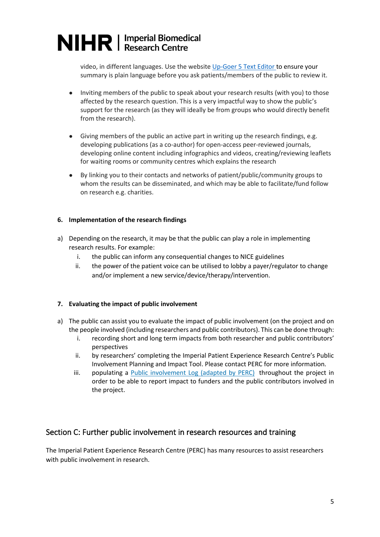video, in different languages. Use the websit[e Up-Goer 5 Text Editor](https://splasho.com/upgoer5/) to ensure your summary is plain language before you ask patients/members of the public to review it.

- Inviting members of the public to speak about your research results (with you) to those affected by the research question. This is a very impactful way to show the public's support for the research (as they will ideally be from groups who would directly benefit from the research).
- Giving members of the public an active part in writing up the research findings, e.g. developing publications (as a co-author) for open-access peer-reviewed journals, developing online content including infographics and videos, creating/reviewing leaflets for waiting rooms or community centres which explains the research
- By linking you to their contacts and networks of patient/public/community groups to whom the results can be disseminated, and which may be able to facilitate/fund follow on research e.g. charities.

### **6. Implementation of the research findings**

- a) Depending on the research, it may be that the public can play a role in implementing research results. For example:
	- i. the public can inform any consequential changes to NICE guidelines
	- ii. the power of the patient voice can be utilised to lobby a payer/regulator to change and/or implement a new service/device/therapy/intervention.

### **7. Evaluating the impact of public involvement**

- a) The public can assist you to evaluate the impact of public involvement (on the project and on the people involved (including researchers and public contributors). This can be done through:
	- i. recording short and long term impacts from both researcher and public contributors' perspectives
	- ii. by researchers' completing the Imperial Patient Experience Research Centre's Public Involvement Planning and Impact Tool. Please contact PERC for more information.
	- iii. populating a **Public [involvement](https://www.imperial.ac.uk/media/imperial-college/medicine/perc/PERC-Impact-log-for-researchers-v1-2021.xlsx) Log (adapted by PERC)** throughout the project in order to be able to report impact to funders and the public contributors involved in the project.

### Section C: Further public involvement in research resources and training

The Imperial Patient Experience Research Centre (PERC) has many resources to assist researchers with public involvement in research.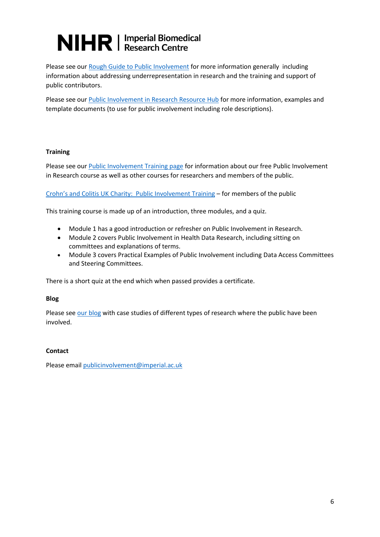Please see our [Rough Guide to Public Involvement](https://www.imperial.ac.uk/media/imperial-college/medicine/perc/PERCs-Rough-Guide-to-Public-Involvement---Dec-2021.pdf) for more information generally including information about addressing underrepresentation in research and the training and support of public contributors.

Please see our [Public Involvement in Research Resource Hub](https://www.imperial.ac.uk/patient-experience-research-centre/ppi/ppi-resource-hub/) for more information, examples and template documents (to use for public involvement including role descriptions).

### **Training**

Please see our [Public Involvement Training page](https://www.imperial.ac.uk/patient-experience-research-centre/ppi/ppi-training/) for information about our free Public Involvement in Research course as well as other courses for researchers and members of the public.

[Crohn's and Colitis UK Charity: Public Involvement Training](https://www.crohnsandcolitis.org.uk/research/research-involvement-opportunities/training) – for members of the public

This training course is made up of an introduction, three modules, and a quiz.

- Module 1 has a good introduction or refresher on Public Involvement in Research.
- Module 2 covers Public Involvement in Health Data Research, including sitting on committees and explanations of terms.
- Module 3 covers Practical Examples of Public Involvement including Data Access Committees and Steering Committees.

There is a short quiz at the end which when passed provides a certificate.

### **Blog**

Please see [our blog](https://blogs.imperial.ac.uk/perc/) with case studies of different types of research where the public have been involved.

### **Contact**

Please email [publicinvolvement@imperial.ac.uk](mailto:publicinvolvement@imperial.ac.uk)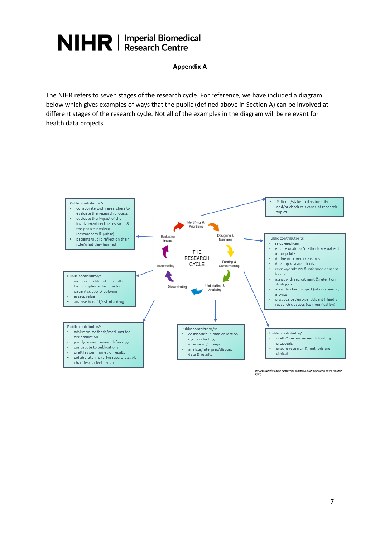### **Appendix A**

The NIHR refers to seven stages of the research cycle. For reference, we have included a diagram below which gives examples of ways that the public (defined above in Section A) can be involved at different stages of the research cycle. Not all of the examples in the diagram will be relevant for health data projects.



(INVOLVE Briefing note eight: Ways that people can be involved in the research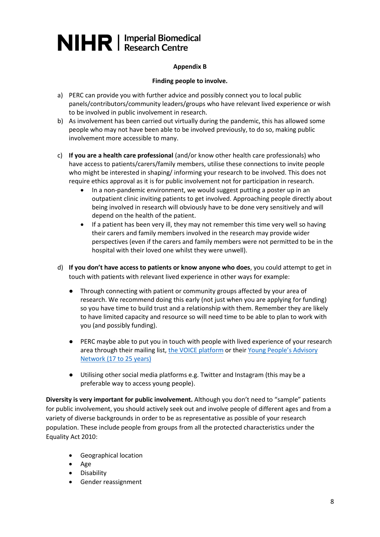### **Appendix B**

### **Finding people to involve.**

- a) PERC can provide you with further advice and possibly connect you to local public panels/contributors/community leaders/groups who have relevant lived experience or wish to be involved in public involvement in research.
- b) As involvement has been carried out virtually during the pandemic, this has allowed some people who may not have been able to be involved previously, to do so, making public involvement more accessible to many.
- c) **If you are a health care professional** (and/or know other health care professionals) who have access to patients/carers/family members, utilise these connections to invite people who might be interested in shaping/ informing your research to be involved. This does not require ethics approval as it is for public involvement not for participation in research.
	- In a non-pandemic environment, we would suggest putting a poster up in an outpatient clinic inviting patients to get involved. Approaching people directly about being involved in research will obviously have to be done very sensitively and will depend on the health of the patient.
	- If a patient has been very ill, they may not remember this time very well so having their carers and family members involved in the research may provide wider perspectives (even if the carers and family members were not permitted to be in the hospital with their loved one whilst they were unwell).
- d) **If you don't have access to patients or know anyone who does**, you could attempt to get in touch with patients with relevant lived experience in other ways for example:
	- Through connecting with patient or community groups affected by your area of research. We recommend doing this early (not just when you are applying for funding) so you have time to build trust and a relationship with them. Remember they are likely to have limited capacity and resource so will need time to be able to plan to work with you (and possibly funding).
	- PERC maybe able to put you in touch with people with lived experience of your research area through their mailing list, [the VOICE platform](https://www.imperial.ac.uk/patient-experience-research-centre/ppi/our-public-involvement-networks/voice-at-imperial/) or their [Young People's Advisory](https://www.imperial.ac.uk/patient-experience-research-centre/ppi/our-public-involvement-networks/young-persons-advisory-network/)  Network [\(17 to 25 years\)](https://www.imperial.ac.uk/patient-experience-research-centre/ppi/our-public-involvement-networks/young-persons-advisory-network/)
	- Utilising other social media platforms e.g. Twitter and Instagram (this may be a preferable way to access young people).

**Diversity is very important for public involvement.** Although you don't need to "sample" patients for public involvement, you should actively seek out and involve people of different ages and from a variety of diverse backgrounds in order to be as representative as possible of your research population. These include people from groups from all the protected characteristics under the Equality Act 2010:

- Geographical location
- Age
- Disability
- Gender reassignment